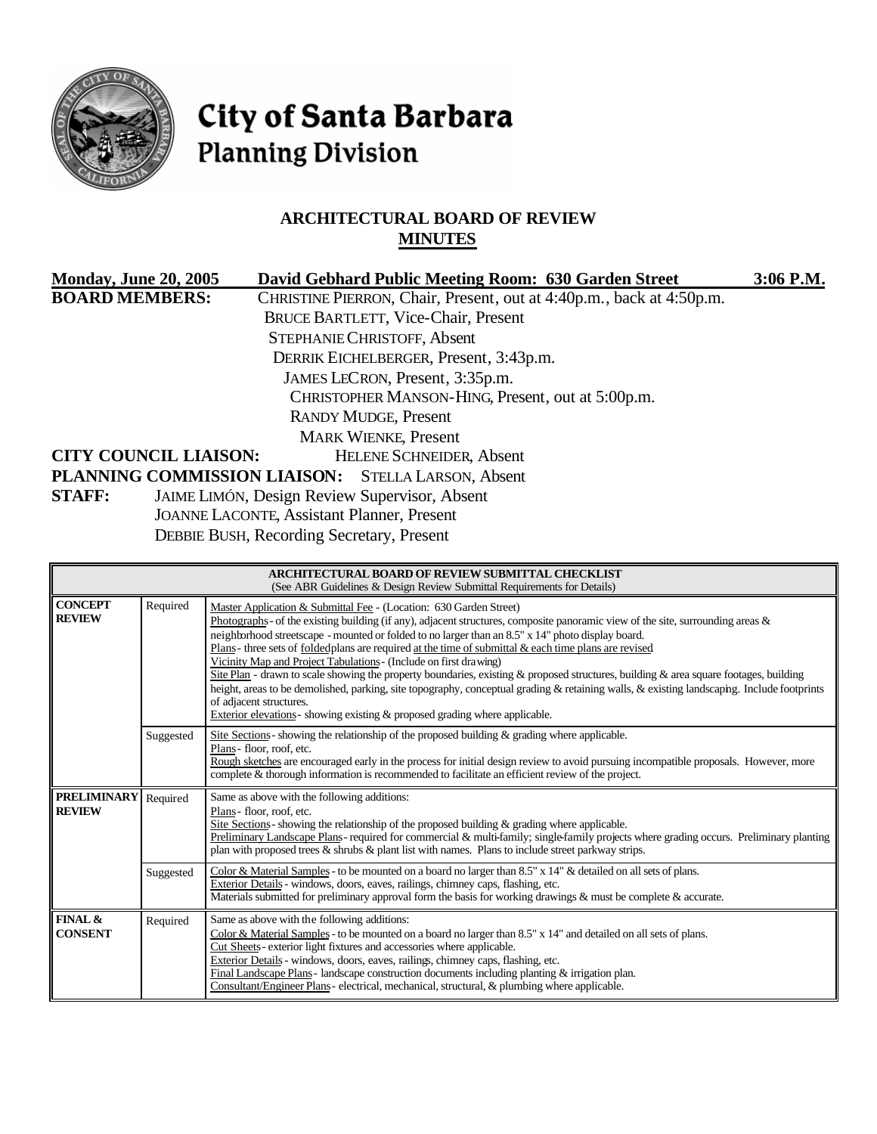

# City of Santa Barbara **Planning Division**

# **ARCHITECTURAL BOARD OF REVIEW MINUTES**

| <b>Monday, June 20, 2005</b> | David Gebhard Public Meeting Room: 630 Garden Street                 | $3:06$ P.M. |
|------------------------------|----------------------------------------------------------------------|-------------|
| <b>BOARD MEMBERS:</b>        | CHRISTINE PIERRON, Chair, Present, out at 4:40p.m., back at 4:50p.m. |             |
|                              | <b>BRUCE BARTLETT, Vice-Chair, Present</b>                           |             |
|                              | <b>STEPHANIE CHRISTOFF, Absent</b>                                   |             |
|                              | DERRIK EICHELBERGER, Present, 3:43p.m.                               |             |
|                              | JAMES LECRON, Present, 3:35p.m.                                      |             |
|                              | CHRISTOPHER MANSON-HING, Present, out at 5:00p.m.                    |             |
|                              | <b>RANDY MUDGE, Present</b>                                          |             |
|                              | <b>MARK WIENKE, Present</b>                                          |             |
| <b>CITY COUNCIL LIAISON:</b> | <b>HELENE SCHNEIDER, Absent</b>                                      |             |
|                              | PLANNING COMMISSION LIAISON: STELLA LARSON, Absent                   |             |
| <b>STAFF:</b>                | <b>JAIME LIMÓN, Design Review Supervisor, Absent</b>                 |             |
|                              | <b>JOANNE LACONTE, Assistant Planner, Present</b>                    |             |

DEBBIE BUSH, Recording Secretary, Present

| <b>ARCHITECTURAL BOARD OF REVIEW SUBMITTAL CHECKLIST</b><br>(See ABR Guidelines & Design Review Submittal Requirements for Details) |           |                                                                                                                                                                                                                                                                                                                                                                                                                                                                                                                                                                                                                                                                                                                                                                                                                                                                                                 |  |
|-------------------------------------------------------------------------------------------------------------------------------------|-----------|-------------------------------------------------------------------------------------------------------------------------------------------------------------------------------------------------------------------------------------------------------------------------------------------------------------------------------------------------------------------------------------------------------------------------------------------------------------------------------------------------------------------------------------------------------------------------------------------------------------------------------------------------------------------------------------------------------------------------------------------------------------------------------------------------------------------------------------------------------------------------------------------------|--|
| <b>CONCEPT</b><br><b>REVIEW</b>                                                                                                     | Required  | Master Application & Submittal Fee - (Location: 630 Garden Street)<br>Photographs - of the existing building (if any), adjacent structures, composite panoramic view of the site, surrounding areas $\&$<br>neighborhood streetscape - mounted or folded to no larger than an 8.5" x 14" photo display board.<br>Plans - three sets of folded plans are required at the time of submittal & each time plans are revised<br>Vicinity Map and Project Tabulations - (Include on first drawing)<br>Site Plan - drawn to scale showing the property boundaries, existing & proposed structures, building & area square footages, building<br>height, areas to be demolished, parking, site topography, conceptual grading & retaining walls, & existing landscapng. Include footprints<br>of adjacent structures.<br>Exterior elevations - showing existing $\&$ proposed grading where applicable. |  |
|                                                                                                                                     | Suggested | Site Sections-showing the relationship of the proposed building $\&$ grading where applicable.<br>Plans-floor, roof, etc.<br>Rough sketches are encouraged early in the process for initial design review to avoid pursuing incompatible proposals. However, more<br>complete & thorough information is recommended to facilitate an efficient review of the project.                                                                                                                                                                                                                                                                                                                                                                                                                                                                                                                           |  |
| <b>PRELIMINARY</b><br><b>REVIEW</b>                                                                                                 | Required  | Same as above with the following additions:<br>Plans - floor, roof, etc.<br>Site Sections - showing the relationship of the proposed building & grading where applicable.<br>Preliminary Landscape Plans-required for commercial & multi-family; single-family projects where grading occurs. Preliminary planting<br>plan with proposed trees & shrubs & plant list with names. Plans to include street parkway strips.                                                                                                                                                                                                                                                                                                                                                                                                                                                                        |  |
|                                                                                                                                     | Suggested | Color & Material Samples - to be mounted on a board no larger than $8.5" \times 14"$ & detailed on all sets of plans.<br>Exterior Details - windows, doors, eaves, railings, chimney caps, flashing, etc.<br>Materials submitted for preliminary approval form the basis for working drawings & must be complete & accurate.                                                                                                                                                                                                                                                                                                                                                                                                                                                                                                                                                                    |  |
| <b>FINAL &amp;</b><br><b>CONSENT</b>                                                                                                | Required  | Same as above with the following additions:<br>Color & Material Samples - to be mounted on a board no larger than 8.5" x 14" and detailed on all sets of plans.<br>Cut Sheets - exterior light fixtures and accessories where applicable.<br>Exterior Details - windows, doors, eaves, railings, chimney caps, flashing, etc.<br>Final Landscape Plans - landscape construction documents including planting & irrigation plan.<br>Consultant/Engineer Plans-electrical, mechanical, structural, & plumbing where applicable.                                                                                                                                                                                                                                                                                                                                                                   |  |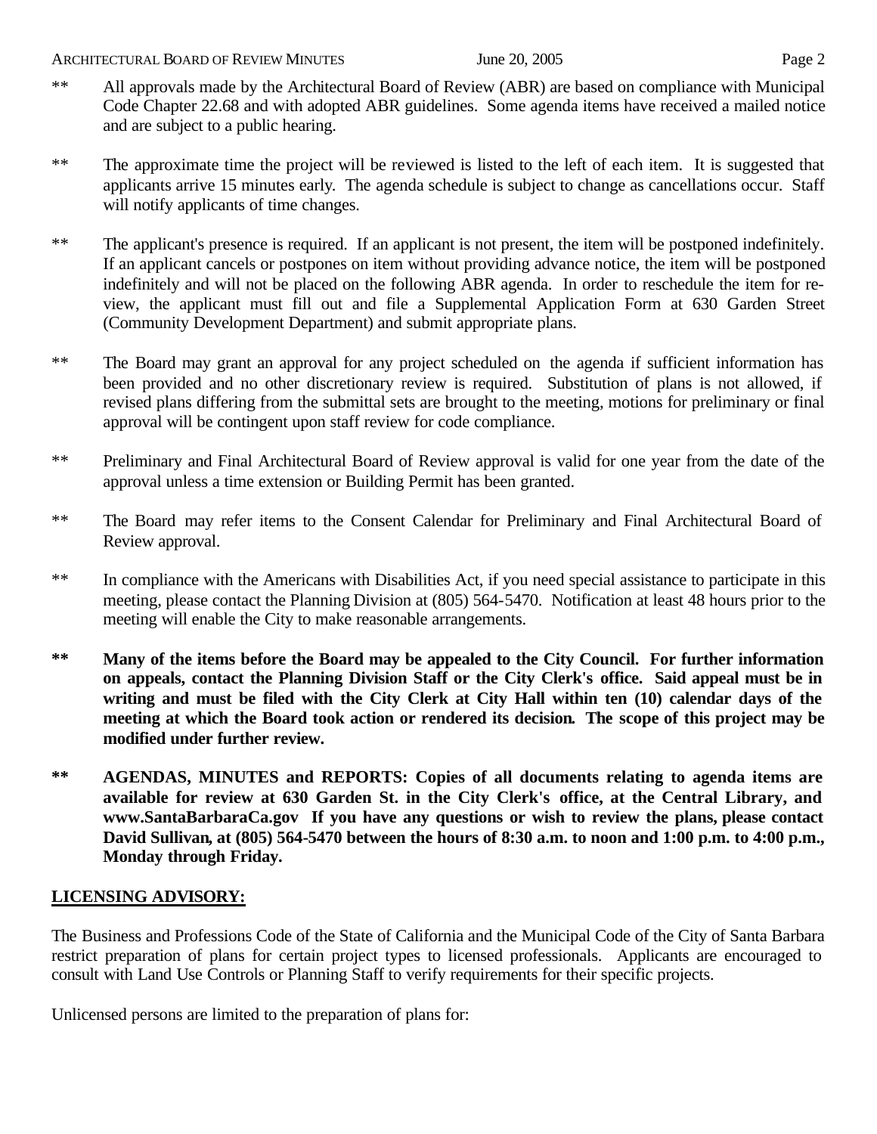- \*\* All approvals made by the Architectural Board of Review (ABR) are based on compliance with Municipal Code Chapter 22.68 and with adopted ABR guidelines. Some agenda items have received a mailed notice and are subject to a public hearing.
- \*\* The approximate time the project will be reviewed is listed to the left of each item. It is suggested that applicants arrive 15 minutes early. The agenda schedule is subject to change as cancellations occur. Staff will notify applicants of time changes.
- \*\* The applicant's presence is required. If an applicant is not present, the item will be postponed indefinitely. If an applicant cancels or postpones on item without providing advance notice, the item will be postponed indefinitely and will not be placed on the following ABR agenda. In order to reschedule the item for review, the applicant must fill out and file a Supplemental Application Form at 630 Garden Street (Community Development Department) and submit appropriate plans.
- \*\* The Board may grant an approval for any project scheduled on the agenda if sufficient information has been provided and no other discretionary review is required. Substitution of plans is not allowed, if revised plans differing from the submittal sets are brought to the meeting, motions for preliminary or final approval will be contingent upon staff review for code compliance.
- \*\* Preliminary and Final Architectural Board of Review approval is valid for one year from the date of the approval unless a time extension or Building Permit has been granted.
- \*\* The Board may refer items to the Consent Calendar for Preliminary and Final Architectural Board of Review approval.
- \*\* In compliance with the Americans with Disabilities Act, if you need special assistance to participate in this meeting, please contact the Planning Division at (805) 564-5470. Notification at least 48 hours prior to the meeting will enable the City to make reasonable arrangements.
- **\*\* Many of the items before the Board may be appealed to the City Council. For further information on appeals, contact the Planning Division Staff or the City Clerk's office. Said appeal must be in writing and must be filed with the City Clerk at City Hall within ten (10) calendar days of the meeting at which the Board took action or rendered its decision. The scope of this project may be modified under further review.**
- **\*\* AGENDAS, MINUTES and REPORTS: Copies of all documents relating to agenda items are available for review at 630 Garden St. in the City Clerk's office, at the Central Library, and www.SantaBarbaraCa.gov If you have any questions or wish to review the plans, please contact David Sullivan, at (805) 564-5470 between the hours of 8:30 a.m. to noon and 1:00 p.m. to 4:00 p.m., Monday through Friday.**

# **LICENSING ADVISORY:**

The Business and Professions Code of the State of California and the Municipal Code of the City of Santa Barbara restrict preparation of plans for certain project types to licensed professionals. Applicants are encouraged to consult with Land Use Controls or Planning Staff to verify requirements for their specific projects.

Unlicensed persons are limited to the preparation of plans for: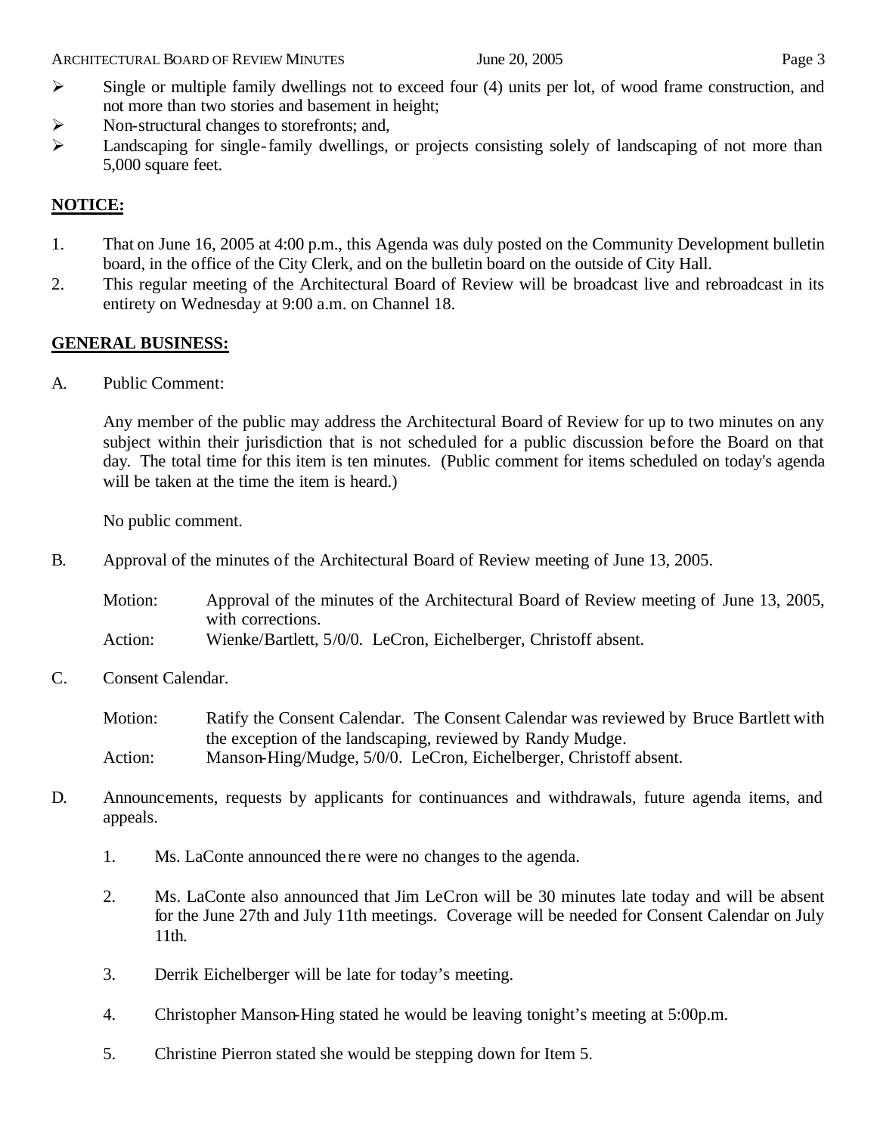- $\triangleright$  Non-structural changes to storefronts; and,
- $\triangleright$  Landscaping for single-family dwellings, or projects consisting solely of landscaping of not more than 5,000 square feet.

# **NOTICE:**

- 1. That on June 16, 2005 at 4:00 p.m., this Agenda was duly posted on the Community Development bulletin board, in the office of the City Clerk, and on the bulletin board on the outside of City Hall.
- 2. This regular meeting of the Architectural Board of Review will be broadcast live and rebroadcast in its entirety on Wednesday at 9:00 a.m. on Channel 18.

# **GENERAL BUSINESS:**

A. Public Comment:

Any member of the public may address the Architectural Board of Review for up to two minutes on any subject within their jurisdiction that is not scheduled for a public discussion before the Board on that day. The total time for this item is ten minutes. (Public comment for items scheduled on today's agenda will be taken at the time the item is heard.)

No public comment.

B. Approval of the minutes of the Architectural Board of Review meeting of June 13, 2005.

| Motion:       | Approval of the minutes of the Architectural Board of Review meeting of June 13, 2005,                                                                                                 |
|---------------|----------------------------------------------------------------------------------------------------------------------------------------------------------------------------------------|
|               | with corrections.                                                                                                                                                                      |
| $\lambda = 1$ | $\mathbf{W}^{\prime}$ and $\mathbf{D}$ and $\mathbf{H}$ $\mathbf{E}$ (0.40) $\mathbf{I}$ and $\mathbf{D}^{\prime}$ and $\mathbf{H}$ and $\mathbf{C}$ and $\mathbf{C}$ and $\mathbf{C}$ |

Action: Wienke/Bartlett, 5/0/0. LeCron, Eichelberger, Christoff absent.

C. Consent Calendar.

Motion: Ratify the Consent Calendar. The Consent Calendar was reviewed by Bruce Bartlett with the exception of the landscaping, reviewed by Randy Mudge*.* Action: Manson-Hing/Mudge, 5/0/0. LeCron, Eichelberger, Christoff absent.

- D. Announcements, requests by applicants for continuances and withdrawals, future agenda items, and appeals.
	- 1. Ms. LaConte announced the re were no changes to the agenda.
	- 2. Ms. LaConte also announced that Jim LeCron will be 30 minutes late today and will be absent for the June 27th and July 11th meetings. Coverage will be needed for Consent Calendar on July 11th.
	- 3. Derrik Eichelberger will be late for today's meeting.
	- 4. Christopher Manson-Hing stated he would be leaving tonight's meeting at 5:00p.m.
	- 5. Christine Pierron stated she would be stepping down for Item 5.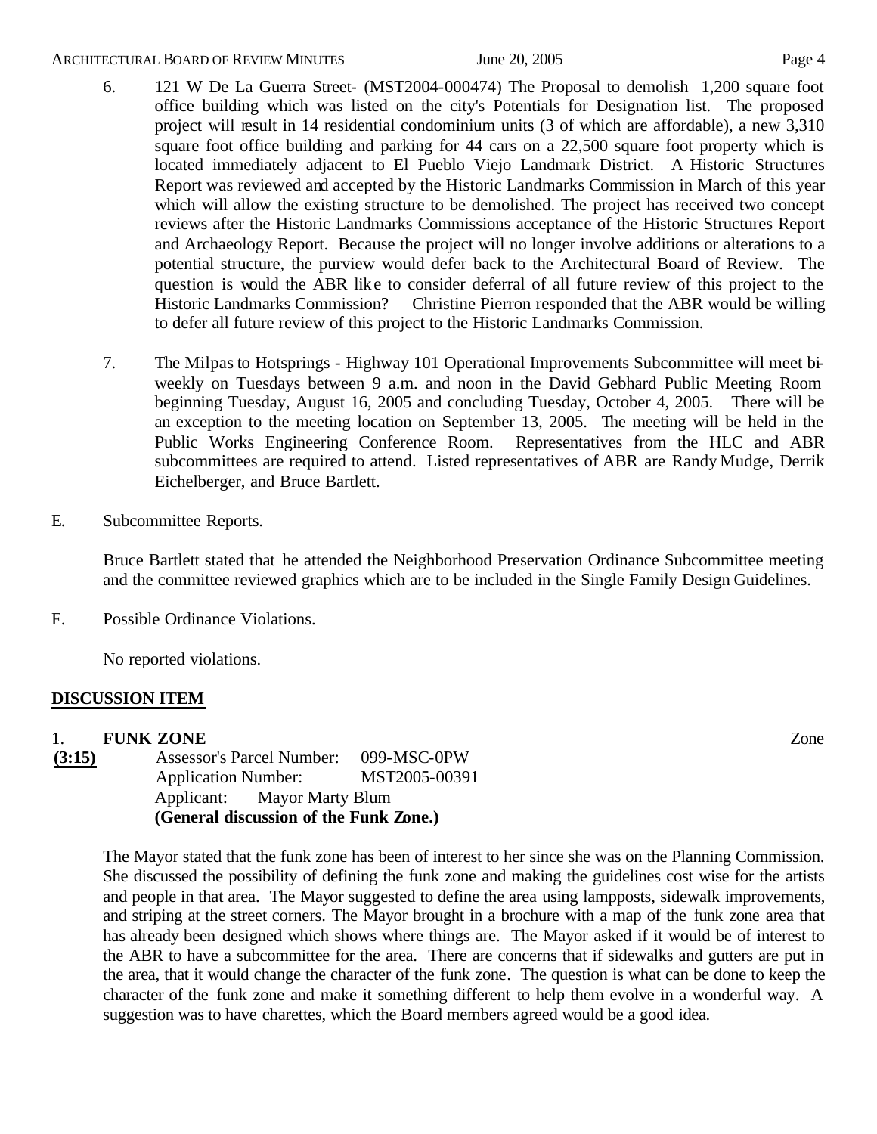#### ARCHITECTURAL BOARD OF REVIEW MINUTES June 20, 2005 Fage 4

- 6. 121 W De La Guerra Street- (MST2004-000474) The Proposal to demolish 1,200 square foot office building which was listed on the city's Potentials for Designation list. The proposed project will result in 14 residential condominium units (3 of which are affordable), a new 3,310 square foot office building and parking for 44 cars on a 22,500 square foot property which is located immediately adjacent to El Pueblo Viejo Landmark District. A Historic Structures Report was reviewed and accepted by the Historic Landmarks Commission in March of this year which will allow the existing structure to be demolished. The project has received two concept reviews after the Historic Landmarks Commissions acceptance of the Historic Structures Report and Archaeology Report. Because the project will no longer involve additions or alterations to a potential structure, the purview would defer back to the Architectural Board of Review. The question is would the ABR like to consider deferral of all future review of this project to the Historic Landmarks Commission? Christine Pierron responded that the ABR would be willing to defer all future review of this project to the Historic Landmarks Commission.
- 7. The Milpas to Hotsprings Highway 101 Operational Improvements Subcommittee will meet biweekly on Tuesdays between 9 a.m. and noon in the David Gebhard Public Meeting Room beginning Tuesday, August 16, 2005 and concluding Tuesday, October 4, 2005. There will be an exception to the meeting location on September 13, 2005. The meeting will be held in the Public Works Engineering Conference Room. Representatives from the HLC and ABR subcommittees are required to attend. Listed representatives of ABR are Randy Mudge, Derrik Eichelberger, and Bruce Bartlett.
- E. Subcommittee Reports.

Bruce Bartlett stated that he attended the Neighborhood Preservation Ordinance Subcommittee meeting and the committee reviewed graphics which are to be included in the Single Family Design Guidelines.

F. Possible Ordinance Violations.

No reported violations.

# **DISCUSSION ITEM**

1. **FUNK ZONE** Zone **(3:15)** Assessor's Parcel Number: 099-MSC-0PW

Application Number: MST2005-00391 Applicant: Mayor Marty Blum **(General discussion of the Funk Zone.)**

The Mayor stated that the funk zone has been of interest to her since she was on the Planning Commission. She discussed the possibility of defining the funk zone and making the guidelines cost wise for the artists and people in that area. The Mayor suggested to define the area using lampposts, sidewalk improvements, and striping at the street corners. The Mayor brought in a brochure with a map of the funk zone area that has already been designed which shows where things are. The Mayor asked if it would be of interest to the ABR to have a subcommittee for the area. There are concerns that if sidewalks and gutters are put in the area, that it would change the character of the funk zone. The question is what can be done to keep the character of the funk zone and make it something different to help them evolve in a wonderful way. A suggestion was to have charettes, which the Board members agreed would be a good idea.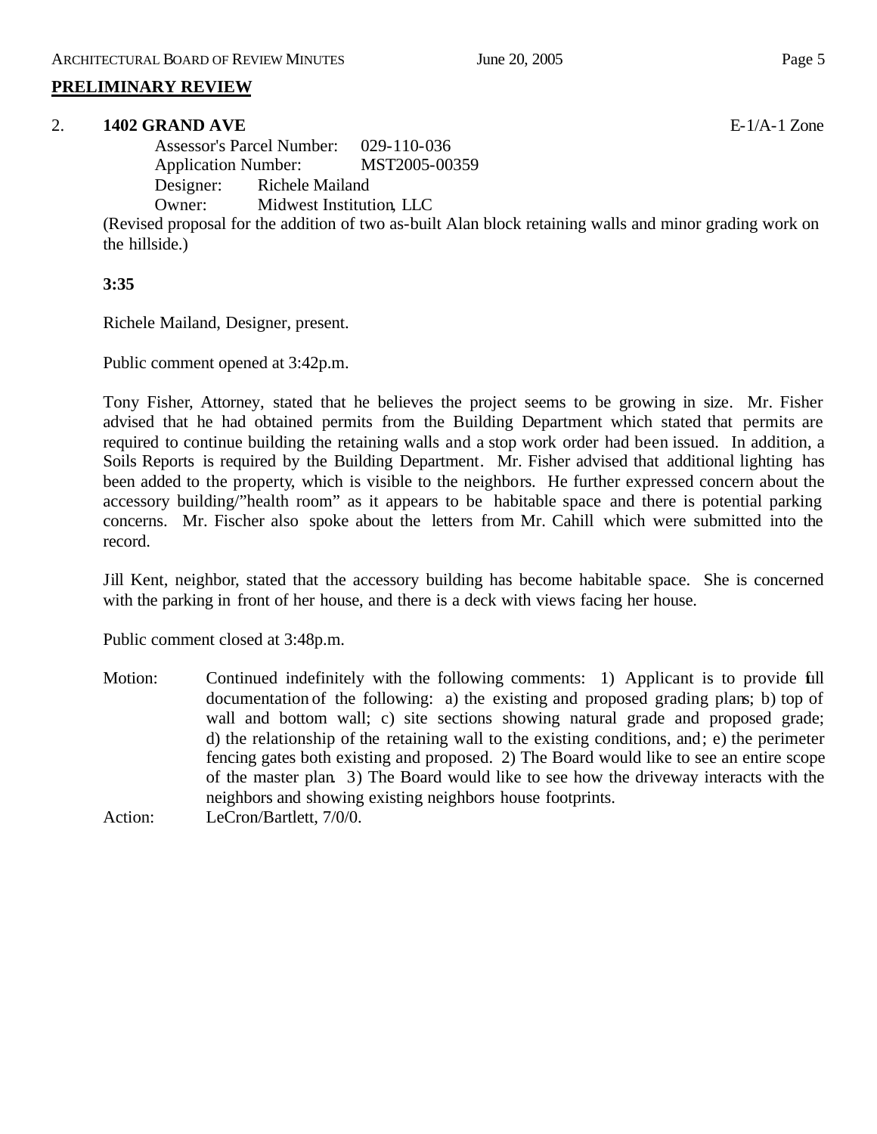# **PRELIMINARY REVIEW**

# 2. **1402 GRAND AVE** E-1/A-1 Zone

Assessor's Parcel Number: 029-110-036 Application Number: MST2005-00359 Designer: Richele Mailand Owner: Midwest Institution, LLC

(Revised proposal for the addition of two as-built Alan block retaining walls and minor grading work on the hillside.)

# **3:35**

Richele Mailand, Designer, present.

Public comment opened at 3:42p.m.

Tony Fisher, Attorney, stated that he believes the project seems to be growing in size. Mr. Fisher advised that he had obtained permits from the Building Department which stated that permits are required to continue building the retaining walls and a stop work order had been issued. In addition, a Soils Reports is required by the Building Department. Mr. Fisher advised that additional lighting has been added to the property, which is visible to the neighbors. He further expressed concern about the accessory building/"health room" as it appears to be habitable space and there is potential parking concerns. Mr. Fischer also spoke about the letters from Mr. Cahill which were submitted into the record.

Jill Kent, neighbor, stated that the accessory building has become habitable space. She is concerned with the parking in front of her house, and there is a deck with views facing her house.

Public comment closed at 3:48p.m.

Motion: Continued indefinitely with the following comments: 1) Applicant is to provide full documentation of the following: a) the existing and proposed grading plans; b) top of wall and bottom wall; c) site sections showing natural grade and proposed grade; d) the relationship of the retaining wall to the existing conditions, and; e) the perimeter fencing gates both existing and proposed. 2) The Board would like to see an entire scope of the master plan. 3) The Board would like to see how the driveway interacts with the neighbors and showing existing neighbors house footprints. Action: LeCron/Bartlett, 7/0/0.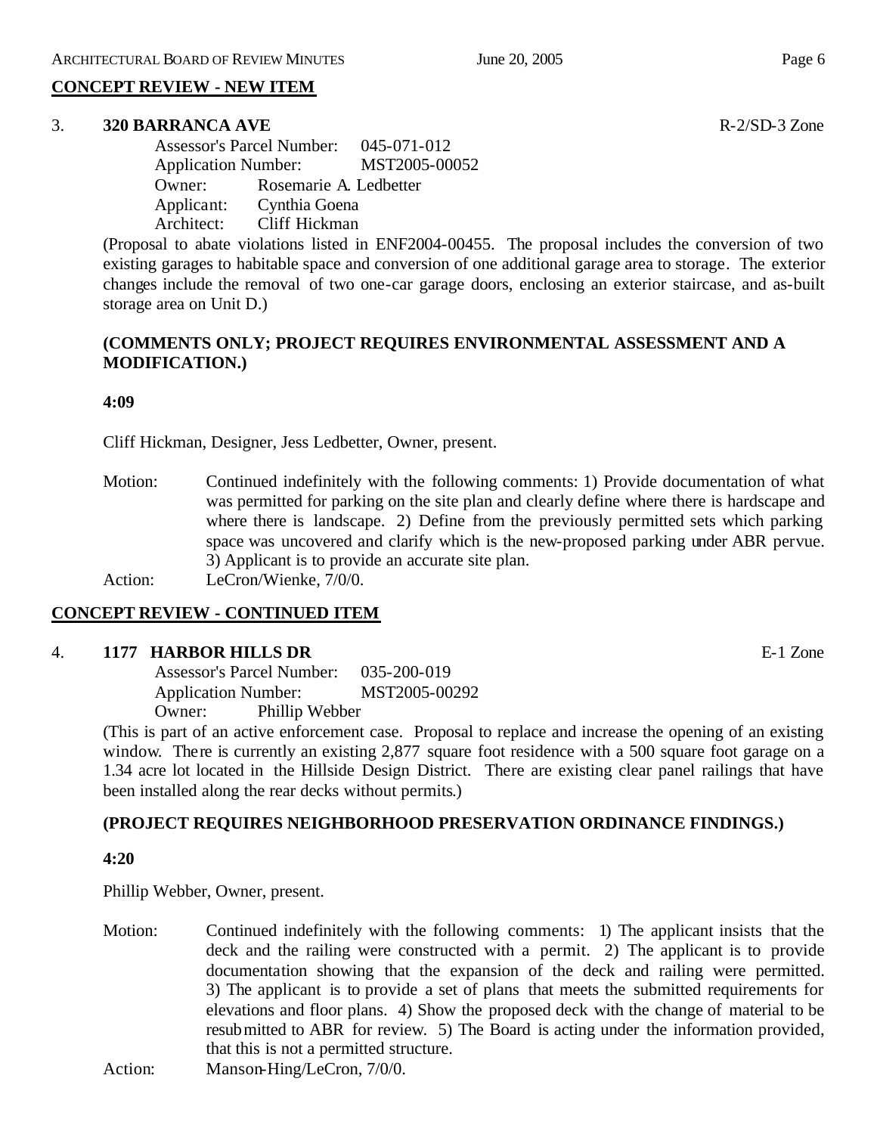# **CONCEPT REVIEW - NEW ITEM**

#### 3. **320 BARRANCA AVE** R-2/SD-3 Zone

Assessor's Parcel Number: 045-071-012 Application Number: MST2005-00052 Owner: Rosemarie A. Ledbetter Applicant: Cynthia Goena Architect: Cliff Hickman

(Proposal to abate violations listed in ENF2004-00455. The proposal includes the conversion of two existing garages to habitable space and conversion of one additional garage area to storage. The exterior changes include the removal of two one-car garage doors, enclosing an exterior staircase, and as-built storage area on Unit D.)

# **(COMMENTS ONLY; PROJECT REQUIRES ENVIRONMENTAL ASSESSMENT AND A MODIFICATION.)**

#### **4:09**

Cliff Hickman, Designer, Jess Ledbetter, Owner, present.

Motion: Continued indefinitely with the following comments: 1) Provide documentation of what was permitted for parking on the site plan and clearly define where there is hardscape and where there is landscape. 2) Define from the previously permitted sets which parking space was uncovered and clarify which is the new-proposed parking under ABR pervue. 3) Applicant is to provide an accurate site plan.

Action: LeCron/Wienke,  $7/0/0$ .

# **CONCEPT REVIEW - CONTINUED ITEM**

# 4. **1177 HARBOR HILLS DR** E-1 Zone

Assessor's Parcel Number: 035-200-019 Application Number: MST2005-00292 Owner: Phillip Webber

(This is part of an active enforcement case. Proposal to replace and increase the opening of an existing window. There is currently an existing 2,877 square foot residence with a 500 square foot garage on a 1.34 acre lot located in the Hillside Design District. There are existing clear panel railings that have been installed along the rear decks without permits.)

# **(PROJECT REQUIRES NEIGHBORHOOD PRESERVATION ORDINANCE FINDINGS.)**

# **4:20**

Phillip Webber, Owner, present.

Motion: Continued indefinitely with the following comments: 1) The applicant insists that the deck and the railing were constructed with a permit. 2) The applicant is to provide documentation showing that the expansion of the deck and railing were permitted. 3) The applicant is to provide a set of plans that meets the submitted requirements for elevations and floor plans. 4) Show the proposed deck with the change of material to be resubmitted to ABR for review. 5) The Board is acting under the information provided, that this is not a permitted structure.

Action: Manson-Hing/LeCron, 7/0/0.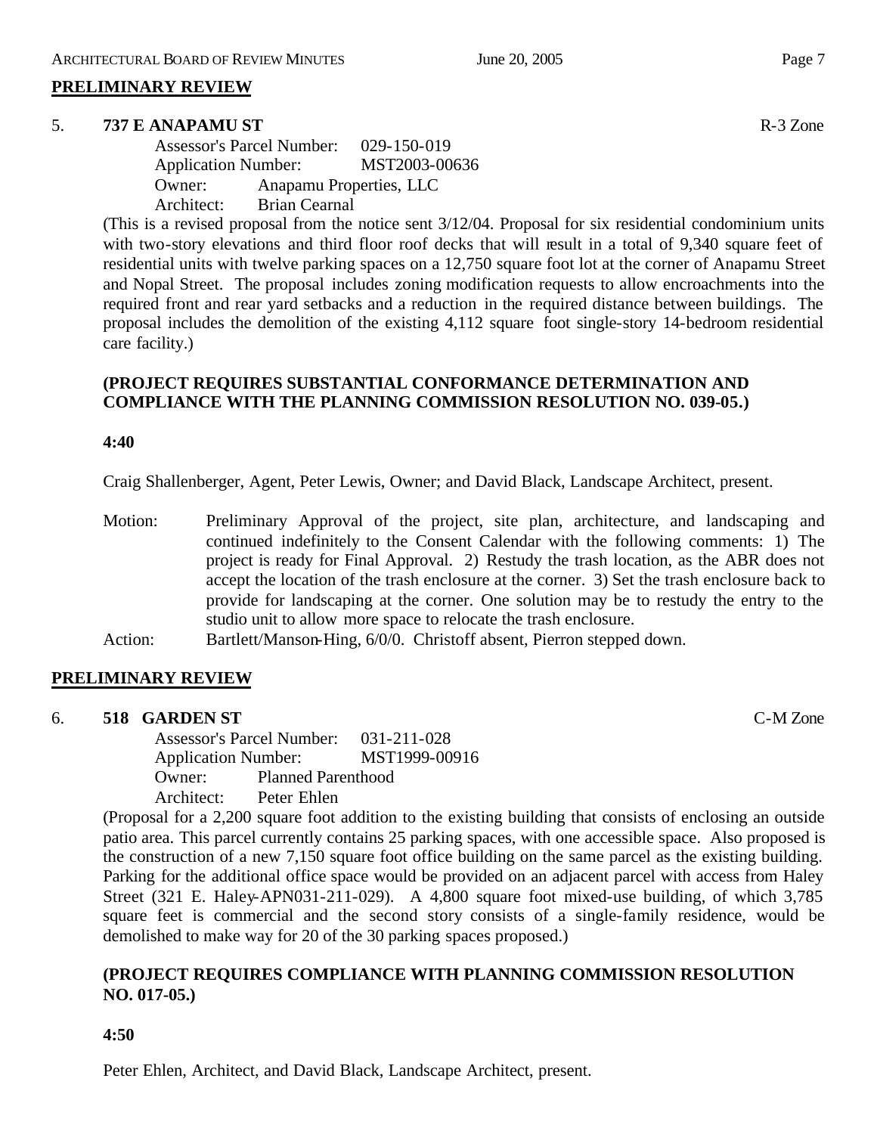# **PRELIMINARY REVIEW**

#### 5. **737 E ANAPAMU ST** R-3 Zone

Assessor's Parcel Number: 029-150-019 Application Number: MST2003-00636 Owner: Anapamu Properties, LLC Architect: Brian Cearnal

(This is a revised proposal from the notice sent 3/12/04. Proposal for six residential condominium units with two-story elevations and third floor roof decks that will result in a total of 9,340 square feet of residential units with twelve parking spaces on a 12,750 square foot lot at the corner of Anapamu Street and Nopal Street. The proposal includes zoning modification requests to allow encroachments into the required front and rear yard setbacks and a reduction in the required distance between buildings. The proposal includes the demolition of the existing 4,112 square foot single-story 14-bedroom residential care facility.)

# **(PROJECT REQUIRES SUBSTANTIAL CONFORMANCE DETERMINATION AND COMPLIANCE WITH THE PLANNING COMMISSION RESOLUTION NO. 039-05.)**

#### **4:40**

Craig Shallenberger, Agent, Peter Lewis, Owner; and David Black, Landscape Architect, present.

- Motion: Preliminary Approval of the project, site plan, architecture, and landscaping and continued indefinitely to the Consent Calendar with the following comments: 1) The project is ready for Final Approval. 2) Restudy the trash location, as the ABR does not accept the location of the trash enclosure at the corner. 3) Set the trash enclosure back to provide for landscaping at the corner. One solution may be to restudy the entry to the studio unit to allow more space to relocate the trash enclosure.
- Action: Bartlett/Manson-Hing, 6/0/0. Christoff absent, Pierron stepped down.

# **PRELIMINARY REVIEW**

6. **518 GARDEN ST** C-M Zone

Assessor's Parcel Number: 031-211-028 Application Number: MST1999-00916 Owner: Planned Parenthood Architect: Peter Ehlen

(Proposal for a 2,200 square foot addition to the existing building that consists of enclosing an outside patio area. This parcel currently contains 25 parking spaces, with one accessible space. Also proposed is the construction of a new 7,150 square foot office building on the same parcel as the existing building. Parking for the additional office space would be provided on an adjacent parcel with access from Haley Street (321 E. Haley-APN031-211-029). A 4,800 square foot mixed-use building, of which 3,785 square feet is commercial and the second story consists of a single-family residence, would be demolished to make way for 20 of the 30 parking spaces proposed.)

# **(PROJECT REQUIRES COMPLIANCE WITH PLANNING COMMISSION RESOLUTION NO. 017-05.)**

# **4:50**

Peter Ehlen, Architect, and David Black, Landscape Architect, present.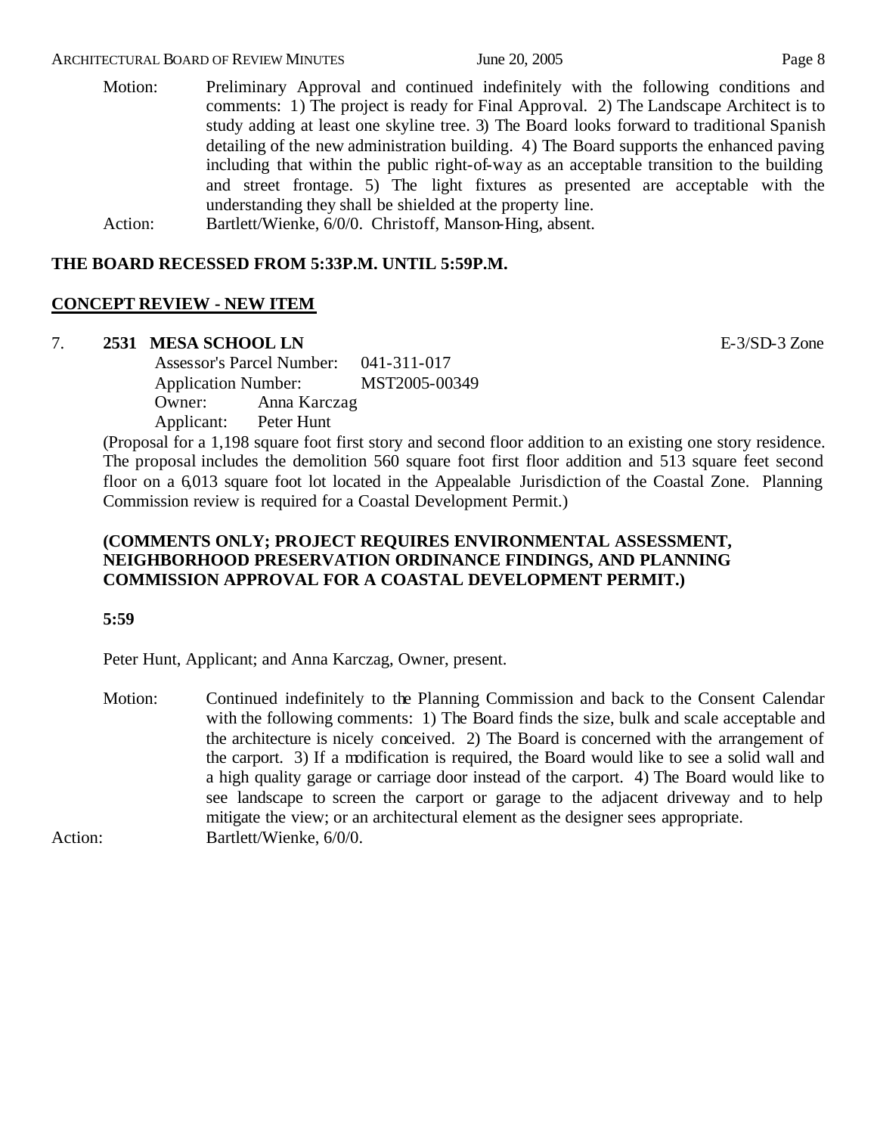#### ARCHITECTURAL BOARD OF REVIEW MINUTES June 20, 2005 **Page 8**

- Motion: Preliminary Approval and continued indefinitely with the following conditions and comments: 1) The project is ready for Final Approval. 2) The Landscape Architect is to study adding at least one skyline tree. 3) The Board looks forward to traditional Spanish detailing of the new administration building. 4) The Board supports the enhanced paving including that within the public right-of-way as an acceptable transition to the building and street frontage. 5) The light fixtures as presented are acceptable with the understanding they shall be shielded at the property line.
- Action: Bartlett/Wienke, 6/0/0. Christoff, Manson-Hing, absent.

#### **THE BOARD RECESSED FROM 5:33P.M. UNTIL 5:59P.M.**

#### **CONCEPT REVIEW - NEW ITEM**

#### 7. **2531 MESA SCHOOL LN** E-3/SD-3 Zone

Assessor's Parcel Number: 041-311-017 Application Number: MST2005-00349 Owner: Anna Karczag Applicant: Peter Hunt

(Proposal for a 1,198 square foot first story and second floor addition to an existing one story residence. The proposal includes the demolition 560 square foot first floor addition and 513 square feet second floor on a 6,013 square foot lot located in the Appealable Jurisdiction of the Coastal Zone. Planning Commission review is required for a Coastal Development Permit.)

# **(COMMENTS ONLY; PROJECT REQUIRES ENVIRONMENTAL ASSESSMENT, NEIGHBORHOOD PRESERVATION ORDINANCE FINDINGS, AND PLANNING COMMISSION APPROVAL FOR A COASTAL DEVELOPMENT PERMIT.)**

#### **5:59**

Peter Hunt, Applicant; and Anna Karczag, Owner, present.

Motion: Continued indefinitely to the Planning Commission and back to the Consent Calendar with the following comments: 1) The Board finds the size, bulk and scale acceptable and the architecture is nicely conceived. 2) The Board is concerned with the arrangement of the carport. 3) If a modification is required, the Board would like to see a solid wall and a high quality garage or carriage door instead of the carport. 4) The Board would like to see landscape to screen the carport or garage to the adjacent driveway and to help mitigate the view; or an architectural element as the designer sees appropriate. Action: Bartlett/Wienke, 6/0/0.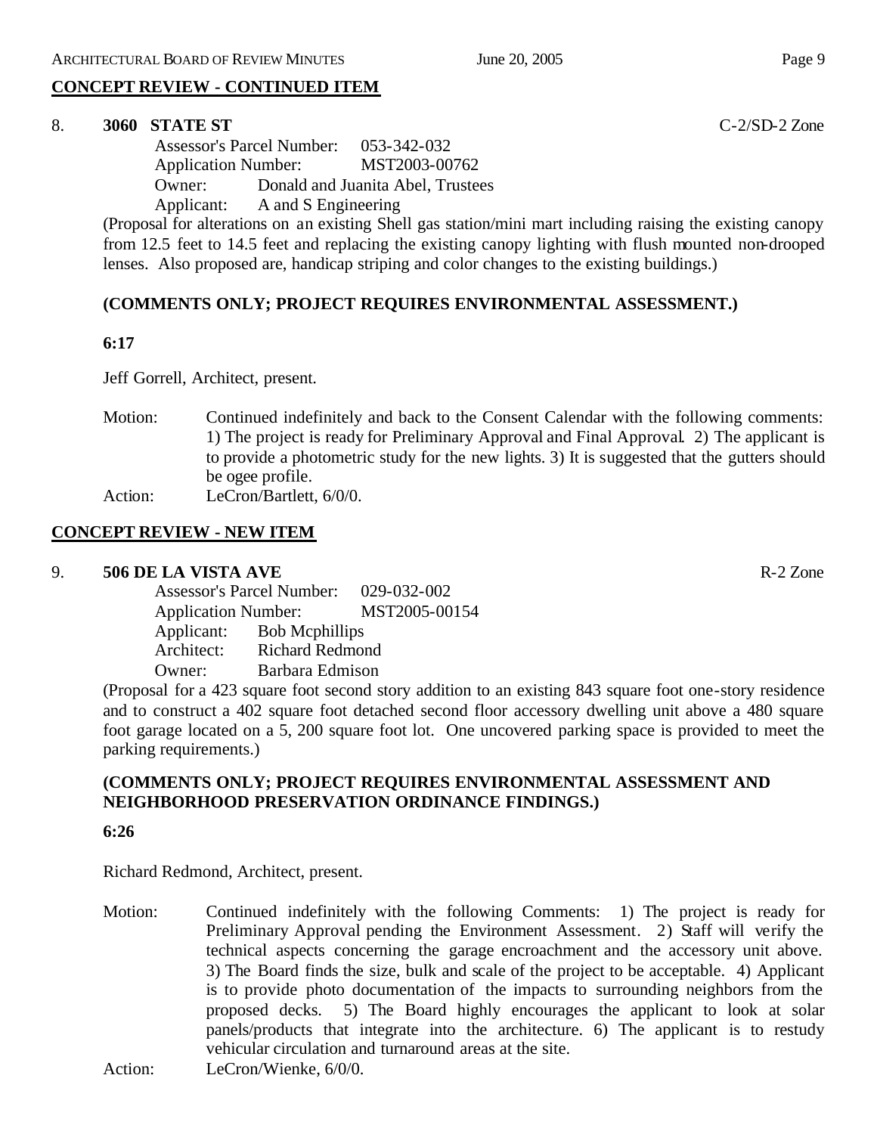# **CONCEPT REVIEW - CONTINUED ITEM**

# 8. **3060 STATE ST** C-2/SD-2 Zone

Assessor's Parcel Number: 053-342-032 Application Number: MST2003-00762 Owner: Donald and Juanita Abel, Trustees Applicant: A and S Engineering

(Proposal for alterations on an existing Shell gas station/mini mart including raising the existing canopy from 12.5 feet to 14.5 feet and replacing the existing canopy lighting with flush mounted non-drooped lenses. Also proposed are, handicap striping and color changes to the existing buildings.)

# **(COMMENTS ONLY; PROJECT REQUIRES ENVIRONMENTAL ASSESSMENT.)**

# **6:17**

Jeff Gorrell, Architect, present.

- Motion: Continued indefinitely and back to the Consent Calendar with the following comments: 1) The project is ready for Preliminary Approval and Final Approval. 2) The applicant is to provide a photometric study for the new lights. 3) It is suggested that the gutters should be ogee profile.
- Action: LeCron/Bartlett, 6/0/0.

# **CONCEPT REVIEW - NEW ITEM**

# 9. **506 DE LA VISTA AVE** R-2 Zone

Assessor's Parcel Number: 029-032-002 Application Number: MST2005-00154 Applicant: Bob Mcphillips<br>Architect: Richard Redmon Richard Redmond Owner: Barbara Edmison

(Proposal for a 423 square foot second story addition to an existing 843 square foot one-story residence and to construct a 402 square foot detached second floor accessory dwelling unit above a 480 square foot garage located on a 5, 200 square foot lot. One uncovered parking space is provided to meet the parking requirements.)

# **(COMMENTS ONLY; PROJECT REQUIRES ENVIRONMENTAL ASSESSMENT AND NEIGHBORHOOD PRESERVATION ORDINANCE FINDINGS.)**

# **6:26**

Richard Redmond, Architect, present.

Motion: Continued indefinitely with the following Comments: 1) The project is ready for Preliminary Approval pending the Environment Assessment. 2) Staff will verify the technical aspects concerning the garage encroachment and the accessory unit above. 3) The Board finds the size, bulk and scale of the project to be acceptable. 4) Applicant is to provide photo documentation of the impacts to surrounding neighbors from the proposed decks. 5) The Board highly encourages the applicant to look at solar panels/products that integrate into the architecture. 6) The applicant is to restudy vehicular circulation and turnaround areas at the site.

Action: LeCron/Wienke, 6/0/0.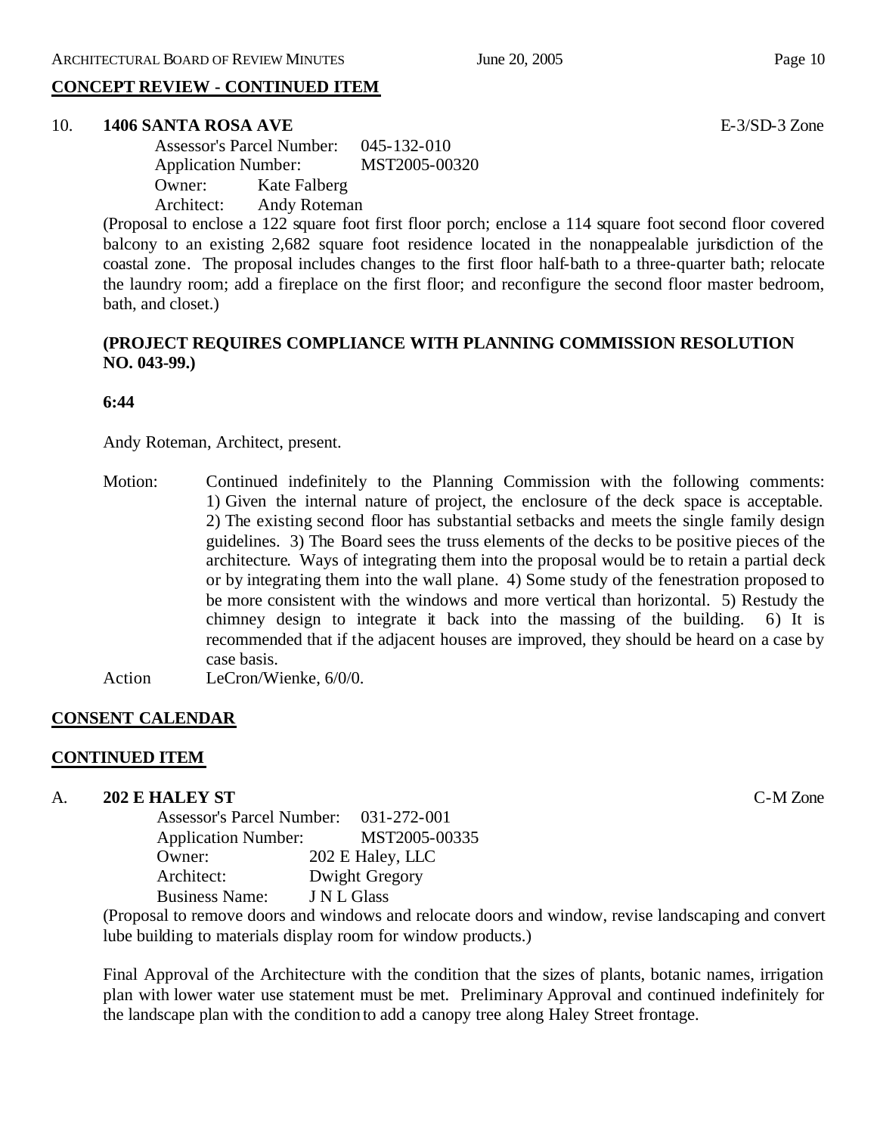# **CONCEPT REVIEW - CONTINUED ITEM**

# 10. **1406 SANTA ROSA AVE** E-3/SD-3 Zone

Assessor's Parcel Number: 045-132-010 Application Number: MST2005-00320 Owner: Kate Falberg Architect: Andy Roteman

(Proposal to enclose a 122 square foot first floor porch; enclose a 114 square foot second floor covered balcony to an existing 2,682 square foot residence located in the nonappealable jurisdiction of the coastal zone. The proposal includes changes to the first floor half-bath to a three-quarter bath; relocate the laundry room; add a fireplace on the first floor; and reconfigure the second floor master bedroom, bath, and closet.)

# **(PROJECT REQUIRES COMPLIANCE WITH PLANNING COMMISSION RESOLUTION NO. 043-99.)**

#### **6:44**

Andy Roteman, Architect, present.

Motion: Continued indefinitely to the Planning Commission with the following comments: 1) Given the internal nature of project, the enclosure of the deck space is acceptable. 2) The existing second floor has substantial setbacks and meets the single family design guidelines. 3) The Board sees the truss elements of the decks to be positive pieces of the architecture. Ways of integrating them into the proposal would be to retain a partial deck or by integrating them into the wall plane. 4) Some study of the fenestration proposed to be more consistent with the windows and more vertical than horizontal. 5) Restudy the chimney design to integrate it back into the massing of the building. 6) It is recommended that if the adjacent houses are improved, they should be heard on a case by case basis.

Action LeCron/Wienke, 6/0/0.

# **CONSENT CALENDAR**

# **CONTINUED ITEM**

A. **202 E HALEY ST** C-M Zone

| <b>Assessor's Parcel Number:</b> | 031-272-001      |
|----------------------------------|------------------|
| <b>Application Number:</b>       | MST2005-00335    |
| Owner:                           | 202 E Haley, LLC |
| Architect:                       | Dwight Gregory   |
| <b>Business Name:</b>            | J N L Glass      |

(Proposal to remove doors and windows and relocate doors and window, revise landscaping and convert lube building to materials display room for window products.)

Final Approval of the Architecture with the condition that the sizes of plants, botanic names, irrigation plan with lower water use statement must be met. Preliminary Approval and continued indefinitely for the landscape plan with the condition to add a canopy tree along Haley Street frontage.

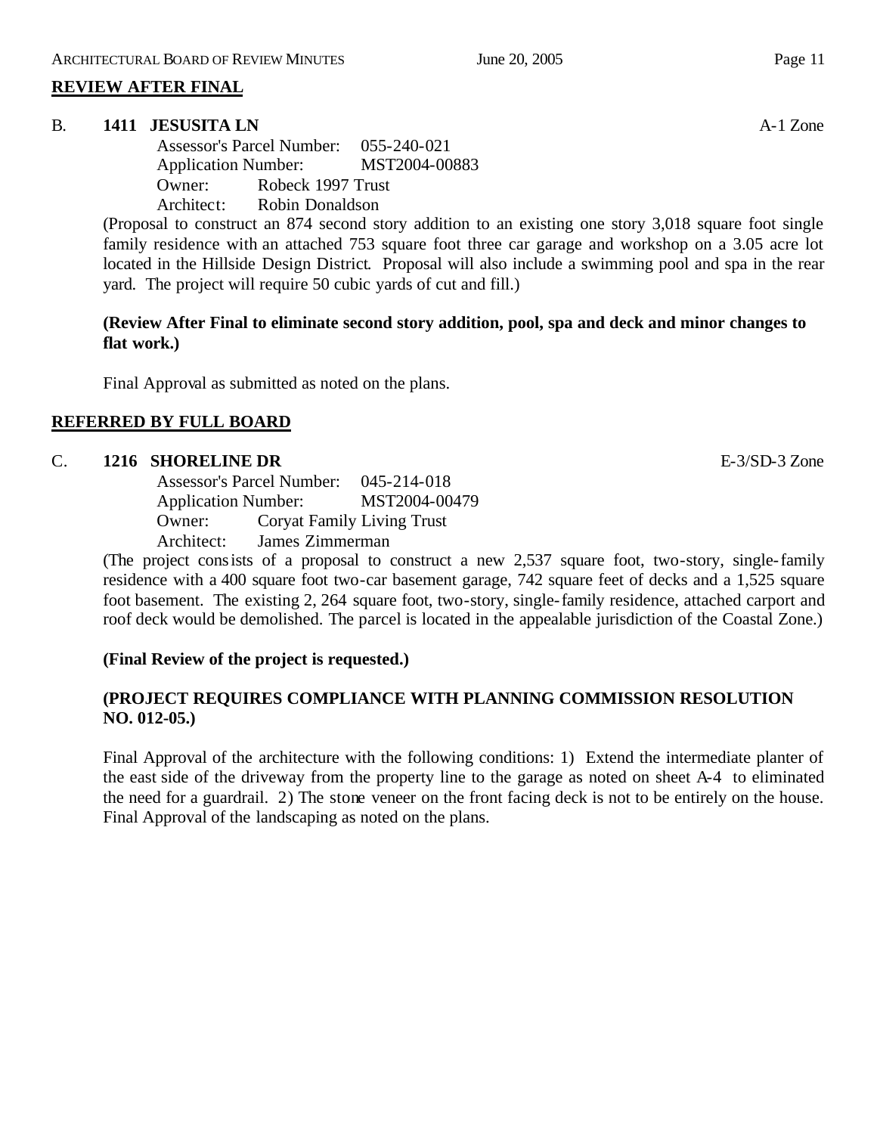# **REVIEW AFTER FINAL**

# B. **1411 JESUSITA LN** A-1 Zone

Assessor's Parcel Number: 055-240-021 Application Number: MST2004-00883 Owner: Robeck 1997 Trust Architect: Robin Donaldson

(Proposal to construct an 874 second story addition to an existing one story 3,018 square foot single family residence with an attached 753 square foot three car garage and workshop on a 3.05 acre lot located in the Hillside Design District. Proposal will also include a swimming pool and spa in the rear yard. The project will require 50 cubic yards of cut and fill.)

**(Review After Final to eliminate second story addition, pool, spa and deck and minor changes to flat work.)**

Final Approval as submitted as noted on the plans.

# **REFERRED BY FULL BOARD**

# C. **1216 SHORELINE DR** E-3/SD-3 Zone

Assessor's Parcel Number: 045-214-018 Application Number: MST2004-00479 Owner: Coryat Family Living Trust Architect: James Zimmerman

(The project consists of a proposal to construct a new 2,537 square foot, two-story, single-family residence with a 400 square foot two-car basement garage, 742 square feet of decks and a 1,525 square foot basement. The existing 2, 264 square foot, two-story, single-family residence, attached carport and roof deck would be demolished. The parcel is located in the appealable jurisdiction of the Coastal Zone.)

# **(Final Review of the project is requested.)**

# **(PROJECT REQUIRES COMPLIANCE WITH PLANNING COMMISSION RESOLUTION NO. 012-05.)**

Final Approval of the architecture with the following conditions: 1) Extend the intermediate planter of the east side of the driveway from the property line to the garage as noted on sheet A-4 to eliminated the need for a guardrail. 2) The stone veneer on the front facing deck is not to be entirely on the house. Final Approval of the landscaping as noted on the plans.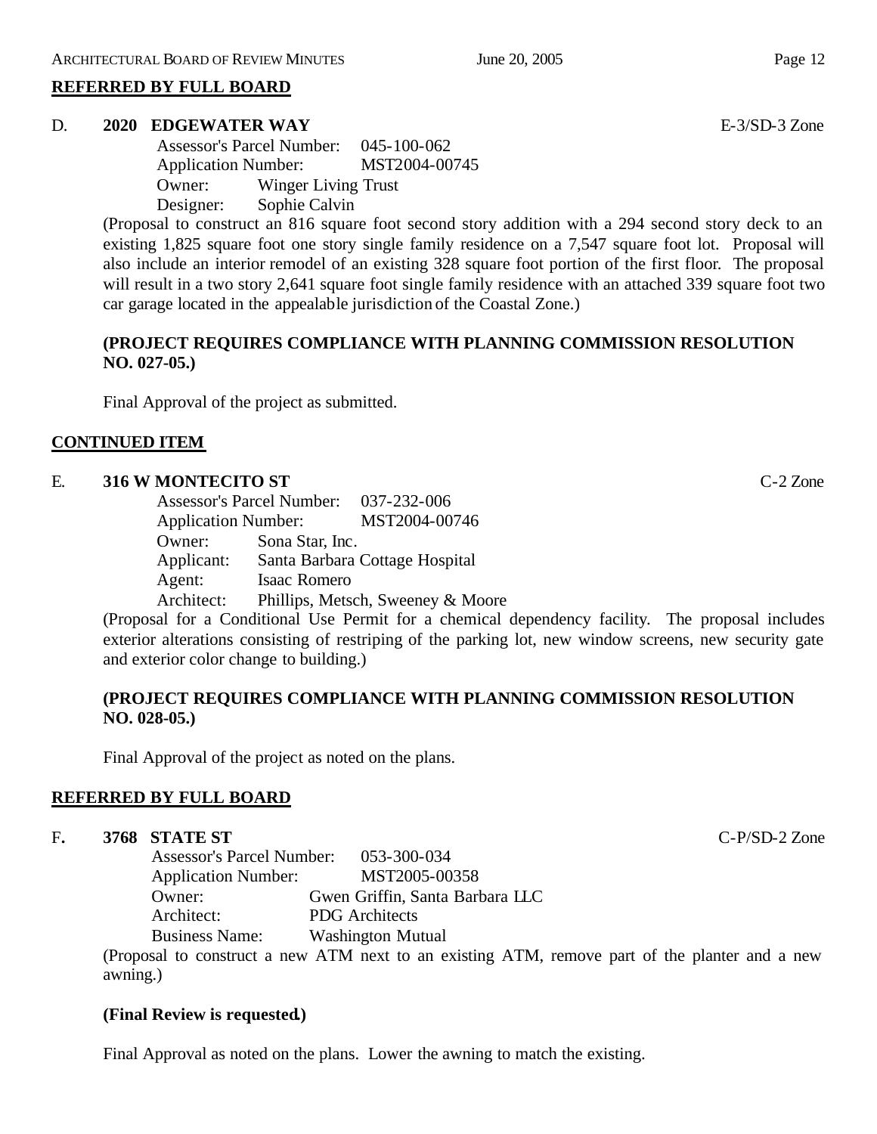# **REFERRED BY FULL BOARD**

# D. **2020 EDGEWATER WAY** E-3/SD-3 Zone

Assessor's Parcel Number: 045-100-062 Application Number: MST2004-00745 Owner: Winger Living Trust Designer: Sophie Calvin

(Proposal to construct an 816 square foot second story addition with a 294 second story deck to an existing 1,825 square foot one story single family residence on a 7,547 square foot lot. Proposal will also include an interior remodel of an existing 328 square foot portion of the first floor. The proposal will result in a two story 2,641 square foot single family residence with an attached 339 square foot two car garage located in the appealable jurisdiction of the Coastal Zone.)

# **(PROJECT REQUIRES COMPLIANCE WITH PLANNING COMMISSION RESOLUTION NO. 027-05.)**

Final Approval of the project as submitted.

# **CONTINUED ITEM**

# E. **316 W MONTECITO ST** C-2 Zone

Assessor's Parcel Number: 037-232-006 Application Number: MST2004-00746 Owner: Sona Star, Inc. Applicant: Santa Barbara Cottage Hospital Agent: Isaac Romero Architect: Phillips, Metsch, Sweeney & Moore

(Proposal for a Conditional Use Permit for a chemical dependency facility. The proposal includes exterior alterations consisting of restriping of the parking lot, new window screens, new security gate and exterior color change to building.)

# **(PROJECT REQUIRES COMPLIANCE WITH PLANNING COMMISSION RESOLUTION NO. 028-05.)**

Final Approval of the project as noted on the plans.

# **REFERRED BY FULL BOARD**

# F**. 3768 STATE ST** C-P/SD-2 Zone

Assessor's Parcel Number: 053-300-034 Application Number: MST2005-00358 Owner: Gwen Griffin, Santa Barbara LLC Architect: PDG Architects Business Name: Washington Mutual

(Proposal to construct a new ATM next to an existing ATM, remove part of the planter and a new awning.)

# **(Final Review is requested.)**

Final Approval as noted on the plans. Lower the awning to match the existing.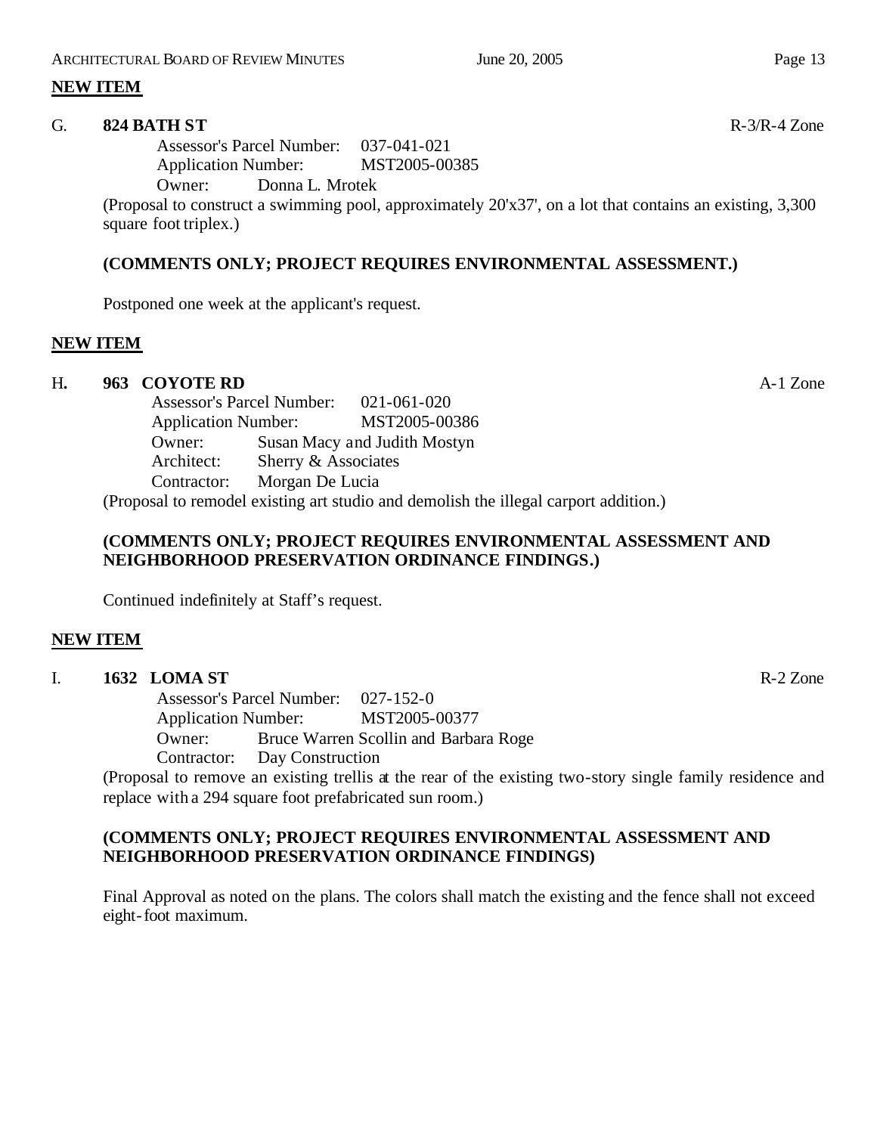# **NEW ITEM**

# G. **824 BATH ST** R-3/R-4 Zone

Assessor's Parcel Number: 037-041-021 Application Number: MST2005-00385

Owner: Donna L. Mrotek

(Proposal to construct a swimming pool, approximately 20'x37', on a lot that contains an existing, 3,300 square foot triplex.)

# **(COMMENTS ONLY; PROJECT REQUIRES ENVIRONMENTAL ASSESSMENT.)**

Postponed one week at the applicant's request.

# **NEW ITEM**

# H**. 963 COYOTE RD** A-1 Zone

Assessor's Parcel Number: 021-061-020 Application Number: MST2005-00386 Owner: Susan Macy and Judith Mostyn Architect: Sherry & Associates Contractor: Morgan De Lucia (Proposal to remodel existing art studio and demolish the illegal carport addition.)

# **(COMMENTS ONLY; PROJECT REQUIRES ENVIRONMENTAL ASSESSMENT AND NEIGHBORHOOD PRESERVATION ORDINANCE FINDINGS.)**

Continued indefinitely at Staff's request.

# **NEW ITEM**

# I. **1632 LOMA ST** R-2 Zone

Assessor's Parcel Number: 027-152-0 Application Number: MST2005-00377 Owner: Bruce Warren Scollin and Barbara Roge Contractor: Day Construction

(Proposal to remove an existing trellis at the rear of the existing two-story single family residence and replace with a 294 square foot prefabricated sun room.)

# **(COMMENTS ONLY; PROJECT REQUIRES ENVIRONMENTAL ASSESSMENT AND NEIGHBORHOOD PRESERVATION ORDINANCE FINDINGS)**

Final Approval as noted on the plans. The colors shall match the existing and the fence shall not exceed eight-foot maximum.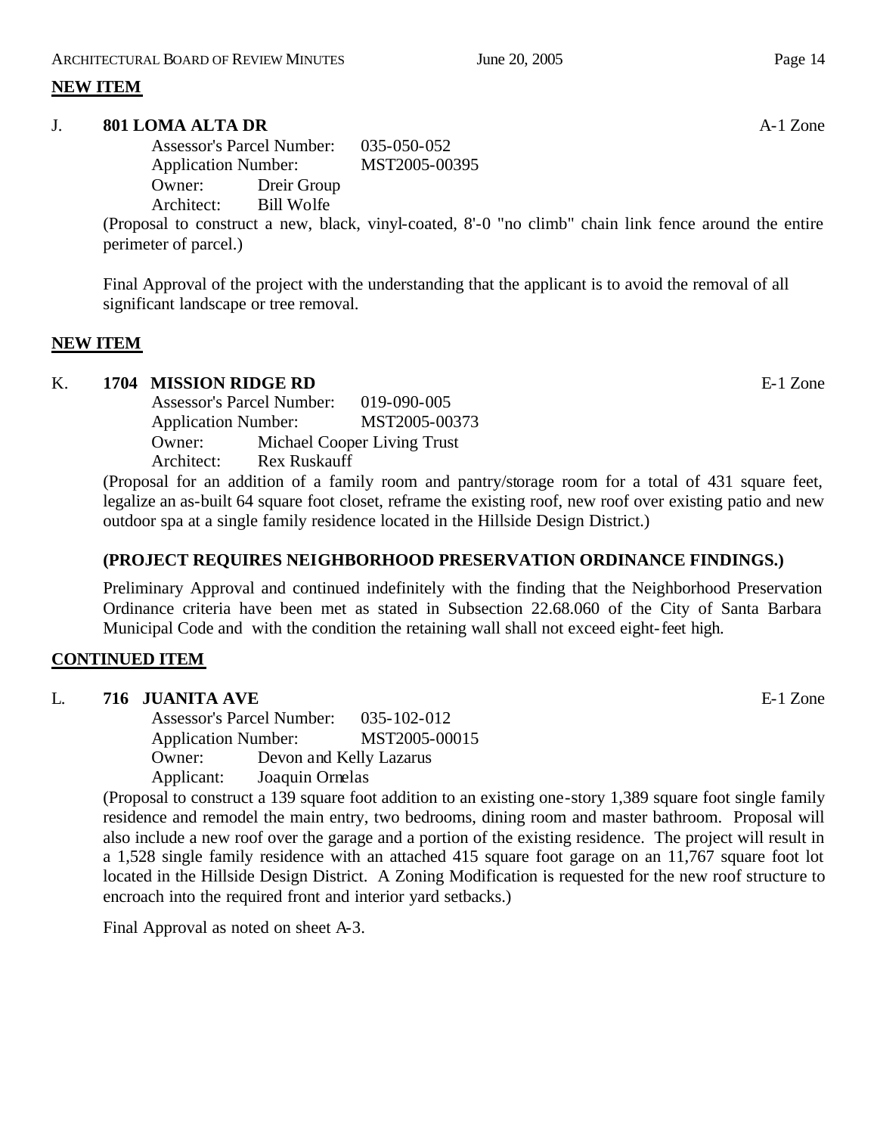# **NEW ITEM**

#### J. **801 LOMA ALTA DR A-1** Zone

Assessor's Parcel Number: 035-050-052 Application Number: MST2005-00395 Owner: Dreir Group Architect: Bill Wolfe

(Proposal to construct a new, black, vinyl-coated, 8'-0 "no climb" chain link fence around the entire perimeter of parcel.)

Final Approval of the project with the understanding that the applicant is to avoid the removal of all significant landscape or tree removal.

# **NEW ITEM**

# K. **1704 MISSION RIDGE RD E-1** Zone

Assessor's Parcel Number: 019-090-005 Application Number: MST2005-00373 Owner: Michael Cooper Living Trust Architect: Rex Ruskauff

(Proposal for an addition of a family room and pantry/storage room for a total of 431 square feet, legalize an as-built 64 square foot closet, reframe the existing roof, new roof over existing patio and new outdoor spa at a single family residence located in the Hillside Design District.)

# **(PROJECT REQUIRES NEIGHBORHOOD PRESERVATION ORDINANCE FINDINGS.)**

Preliminary Approval and continued indefinitely with the finding that the Neighborhood Preservation Ordinance criteria have been met as stated in Subsection 22.68.060 of the City of Santa Barbara Municipal Code and with the condition the retaining wall shall not exceed eight-feet high.

# **CONTINUED ITEM**

# L. **716 JUANITA AVE** E-1 Zone

Assessor's Parcel Number: 035-102-012 Application Number: MST2005-00015 Owner: Devon and Kelly Lazarus Applicant: Joaquin Ornelas

(Proposal to construct a 139 square foot addition to an existing one-story 1,389 square foot single family residence and remodel the main entry, two bedrooms, dining room and master bathroom. Proposal will also include a new roof over the garage and a portion of the existing residence. The project will result in a 1,528 single family residence with an attached 415 square foot garage on an 11,767 square foot lot located in the Hillside Design District. A Zoning Modification is requested for the new roof structure to encroach into the required front and interior yard setbacks.)

Final Approval as noted on sheet A-3.